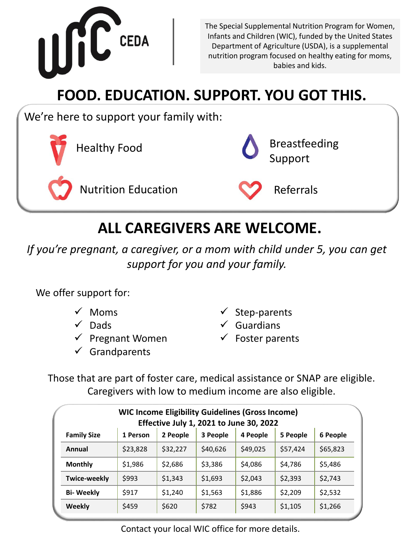

The Special Supplemental Nutrition Program for Women, Infants and Children (WIC), funded by the United States Department of Agriculture (USDA), is a supplemental nutrition program focused on healthy eating for moms, babies and kids.

# **FOOD. EDUCATION. SUPPORT. YOU GOT THIS.**

We're here to support your family with:



## **ALL CAREGIVERS ARE WELCOME.**

*If you're pregnant, a caregiver, or a mom with child under 5, you can get support for you and your family.* 

We offer support for:

- $\checkmark$  Moms
- $\checkmark$  Dads
- $\checkmark$  Pregnant Women
- $\checkmark$  Grandparents
- $\checkmark$  Step-parents
- $\checkmark$  Guardians
- $\checkmark$  Foster parents

Those that are part of foster care, medical assistance or SNAP are eligible. Caregivers with low to medium income are also eligible.

| <b>WIC Income Eligibility Guidelines (Gross Income)</b><br><b>Effective July 1, 2021 to June 30, 2022</b> |          |          |          |          |          |          |
|-----------------------------------------------------------------------------------------------------------|----------|----------|----------|----------|----------|----------|
| <b>Family Size</b>                                                                                        | 1 Person | 2 People | 3 People | 4 People | 5 People | 6 People |
| Annual                                                                                                    | \$23,828 | \$32,227 | \$40,626 | \$49,025 | \$57,424 | \$65,823 |
| <b>Monthly</b>                                                                                            | \$1,986  | \$2,686  | \$3,386  | \$4,086  | \$4,786  | \$5,486  |
| <b>Twice-weekly</b>                                                                                       | \$993    | \$1,343  | \$1,693  | \$2,043  | \$2,393  | \$2,743  |
| <b>Bi-Weekly</b>                                                                                          | \$917    | \$1,240  | \$1,563  | \$1,886  | \$2,209  | \$2,532  |
| <b>Weekly</b>                                                                                             | \$459    | \$620    | \$782    | \$943    | \$1,105  | \$1,266  |

Contact your local WIC office for more details.